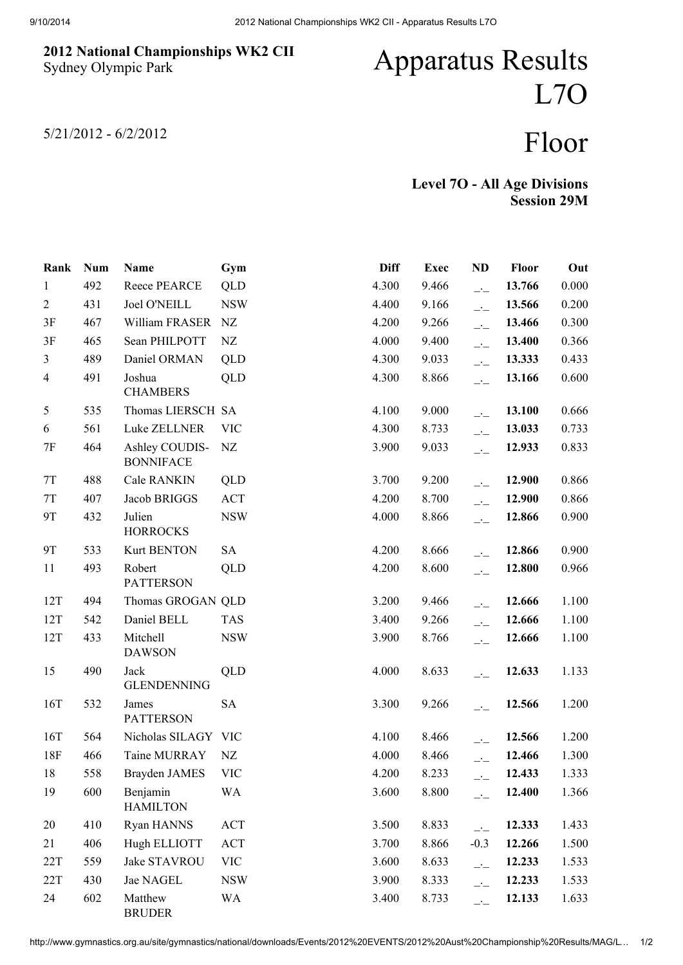## 2012 National Championships WK2 CII Sydney Olympic Park

## Apparatus Results L7O

5/21/2012 - 6/2/2012

## Floor

Level 7O - All Age Divisions Session 29M

| Rank           | <b>Num</b> | Name                               | Gym        | <b>Diff</b> | <b>Exec</b> | <b>ND</b>                                         | Floor  | Out   |
|----------------|------------|------------------------------------|------------|-------------|-------------|---------------------------------------------------|--------|-------|
| $\mathbf{1}$   | 492        | Reece PEARCE                       | QLD        | 4.300       | 9.466       | $\overline{\phantom{a}}$                          | 13.766 | 0.000 |
| $\overline{2}$ | 431        | <b>Joel O'NEILL</b>                | <b>NSW</b> | 4.400       | 9.166       | $\overline{\phantom{a}}$                          | 13.566 | 0.200 |
| 3F             | 467        | William FRASER                     | NZ         | 4.200       | 9.266       | $\overline{\phantom{a}}$                          | 13.466 | 0.300 |
| 3F             | 465        | Sean PHILPOTT                      | NZ         | 4.000       | 9.400       | $\overline{a}$                                    | 13.400 | 0.366 |
| $\mathfrak{Z}$ | 489        | Daniel ORMAN                       | QLD        | 4.300       | 9.033       | $\overline{a}$                                    | 13.333 | 0.433 |
| $\overline{4}$ | 491        | Joshua<br><b>CHAMBERS</b>          | QLD        | 4.300       | 8.866       | $\overline{\phantom{a}}$                          | 13.166 | 0.600 |
| 5              | 535        | Thomas LIERSCH SA                  |            | 4.100       | 9.000       | $\overline{\phantom{a}}$                          | 13.100 | 0.666 |
| 6              | 561        | Luke ZELLNER                       | <b>VIC</b> | 4.300       | 8.733       | $\overline{a}$                                    | 13.033 | 0.733 |
| $7\mathrm{F}$  | 464        | Ashley COUDIS-<br><b>BONNIFACE</b> | NZ         | 3.900       | 9.033       | $\overline{\phantom{a}}$                          | 12.933 | 0.833 |
| $7\mathrm{T}$  | 488        | Cale RANKIN                        | QLD        | 3.700       | 9.200       | $\overline{a}$                                    | 12.900 | 0.866 |
| $7\mathrm{T}$  | 407        | Jacob BRIGGS                       | <b>ACT</b> | 4.200       | 8.700       | $\overline{a}$                                    | 12.900 | 0.866 |
| 9T             | 432        | Julien<br><b>HORROCKS</b>          | <b>NSW</b> | 4.000       | 8.866       | $\overline{\phantom{a}}$                          | 12.866 | 0.900 |
| <b>9T</b>      | 533        | <b>Kurt BENTON</b>                 | <b>SA</b>  | 4.200       | 8.666       | $\overline{a}$                                    | 12.866 | 0.900 |
| 11             | 493        | Robert<br><b>PATTERSON</b>         | QLD        | 4.200       | 8.600       | $\overline{a}$                                    | 12.800 | 0.966 |
| 12T            | 494        | Thomas GROGAN QLD                  |            | 3.200       | 9.466       | $\overline{\phantom{a}}$ :                        | 12.666 | 1.100 |
| 12T            | 542        | Daniel BELL                        | <b>TAS</b> | 3.400       | 9.266       | $\overline{a}$                                    | 12.666 | 1.100 |
| 12T            | 433        | Mitchell<br><b>DAWSON</b>          | <b>NSW</b> | 3.900       | 8.766       | $\overline{\phantom{a}}$                          | 12.666 | 1.100 |
| 15             | 490        | Jack<br><b>GLENDENNING</b>         | QLD        | 4.000       | 8.633       | $\overline{\phantom{a}}$                          | 12.633 | 1.133 |
| 16T            | 532        | James<br><b>PATTERSON</b>          | <b>SA</b>  | 3.300       | 9.266       | $\overline{\phantom{a}}$                          | 12.566 | 1.200 |
| 16T            | 564        | Nicholas SILAGY VIC                |            | 4.100       | 8.466       | $-1$                                              | 12.566 | 1.200 |
| 18F            | 466        | Taine MURRAY                       | NZ         | 4.000       | 8.466       | $\overline{a}$                                    | 12.466 | 1.300 |
| 18             | 558        | <b>Brayden JAMES</b>               | VIC        | 4.200       | 8.233       | $\mathbf{r}$                                      | 12.433 | 1.333 |
| 19             | 600        | Benjamin<br><b>HAMILTON</b>        | <b>WA</b>  | 3.600       | 8.800       | $\overline{\phantom{a}}$ :                        | 12.400 | 1.366 |
| 20             | 410        | Ryan HANNS                         | ACT        | 3.500       | 8.833       | $\overline{\phantom{a}}$ $\overline{\phantom{a}}$ | 12.333 | 1.433 |
| 21             | 406        | Hugh ELLIOTT                       | ACT        | 3.700       | 8.866       | $-0.3$                                            | 12.266 | 1.500 |
| 22T            | 559        | Jake STAVROU                       | <b>VIC</b> | 3.600       | 8.633       | $\overline{\phantom{a}}$                          | 12.233 | 1.533 |
| 22T            | 430        | Jae NAGEL                          | <b>NSW</b> | 3.900       | 8.333       | $\overline{\phantom{a}}$                          | 12.233 | 1.533 |
| 24             | 602        | Matthew<br><b>BRUDER</b>           | <b>WA</b>  | 3.400       | 8.733       | $\overline{\phantom{a}}$                          | 12.133 | 1.633 |